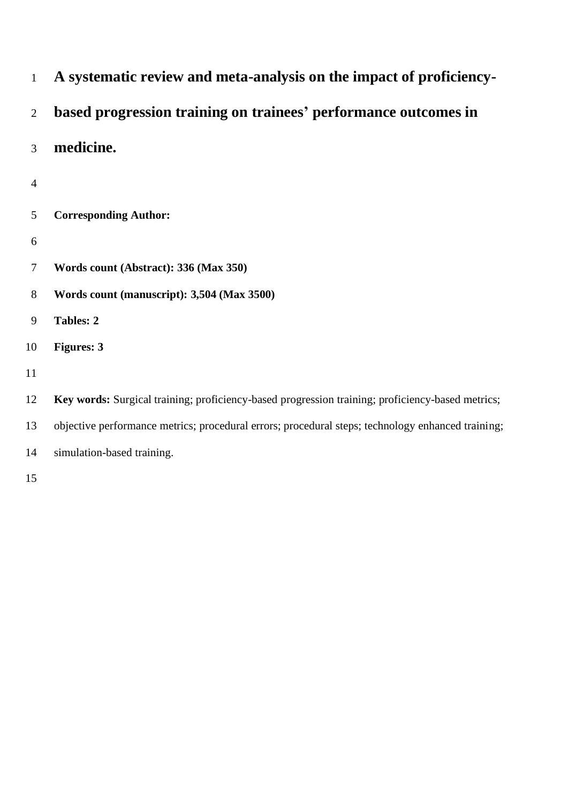| 1              | A systematic review and meta-analysis on the impact of proficiency-                               |
|----------------|---------------------------------------------------------------------------------------------------|
| $\overline{2}$ | based progression training on trainees' performance outcomes in                                   |
| 3              | medicine.                                                                                         |
| 4              |                                                                                                   |
| 5              | <b>Corresponding Author:</b>                                                                      |
| 6              |                                                                                                   |
| 7              | Words count (Abstract): 336 (Max 350)                                                             |
| 8              | Words count (manuscript): 3,504 (Max 3500)                                                        |
| 9              | <b>Tables: 2</b>                                                                                  |
| 10             | <b>Figures: 3</b>                                                                                 |
| 11             |                                                                                                   |
| 12             | Key words: Surgical training; proficiency-based progression training; proficiency-based metrics;  |
| 13             | objective performance metrics; procedural errors; procedural steps; technology enhanced training; |
| 14             | simulation-based training.                                                                        |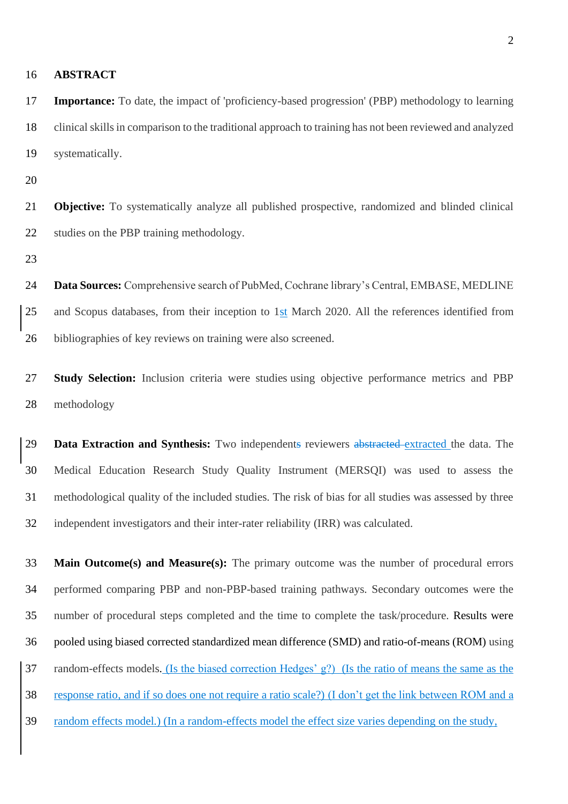## **ABSTRACT**

 **Importance:** To date, the impact of 'proficiency-based progression' (PBP) methodology to learning clinical skills in comparison to the traditional approach to training has not been reviewed and analyzed systematically.

 **Objective:** To systematically analyze all published prospective, randomized and blinded clinical studies on the PBP training methodology.

 **Data Sources:** Comprehensive search of PubMed, Cochrane library's Central, EMBASE, MEDLINE and Scopus databases, from their inception to 1st March 2020. All the references identified from bibliographies of key reviews on training were also screened.

 **Study Selection:** Inclusion criteria were studies using objective performance metrics and PBP methodology

 **Data Extraction and Synthesis:** Two independents reviewers abstracted extracted the data. The Medical Education Research Study Quality Instrument (MERSQI) was used to assess the methodological quality of the included studies. The risk of bias for all studies was assessed by three independent investigators and their inter-rater reliability (IRR) was calculated.

 **Main Outcome(s) and Measure(s):** The primary outcome was the number of procedural errors performed comparing PBP and non-PBP-based training pathways. Secondary outcomes were the number of procedural steps completed and the time to complete the task/procedure. Results were pooled using biased corrected standardized mean difference (SMD) and ratio-of-means (ROM) using random-effects models. (Is the biased correction Hedges' g?) (Is the ratio of means the same as the response ratio, and if so does one not require a ratio scale?) (I don't get the link between ROM and a random effects model.) (In a random-effects model the effect size varies depending on the study,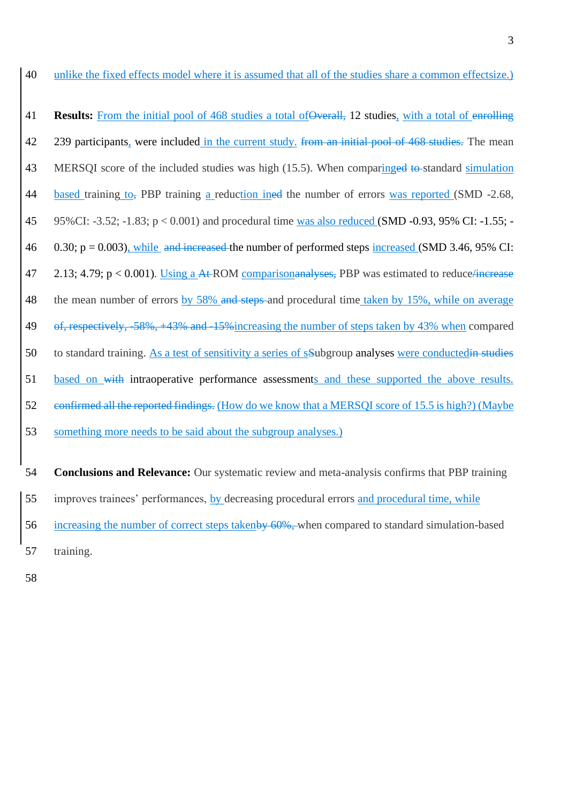**Results:** From the initial pool of 468 studies a total of Overall, 12 studies, with a total of enrolling 42 239 participants, were included in the current study. from an initial pool of 468 studies. The mean 43 MERSQI score of the included studies was high (15.5). When comparinged to standard simulation based training to, PBP training a reduction ined the number of errors was reported (SMD -2.68, 95%CI: -3.52; -1.83; p < 0.001) and procedural time was also reduced (SMD -0.93, 95% CI: -1.55; - 0.30; p = 0.003), while and increased the number of performed steps increased (SMD 3.46, 95% CI: 47 2.13; 4.79; p < 0.001). Using a At-ROM comparison analyses, PBP was estimated to reduce *increase* 48 the mean number of errors by 58% and steps and procedural time taken by 15%, while on average of, respectively, -58%, +43% and -15%increasing the number of steps taken by 43% when compared 50 to standard training. As a test of sensitivity a series of sSubgroup analyses were conductedin studies based on with intraoperative performance assessments and these supported the above results. confirmed all the reported findings. (How do we know that a MERSQI score of 15.5 is high?) (Maybe something more needs to be said about the subgroup analyses.)

 **Conclusions and Relevance:** Our systematic review and meta-analysis confirms that PBP training improves trainees' performances, by decreasing procedural errors and procedural time, while 56 increasing the number of correct steps takenby 60%, when compared to standard simulation-based training.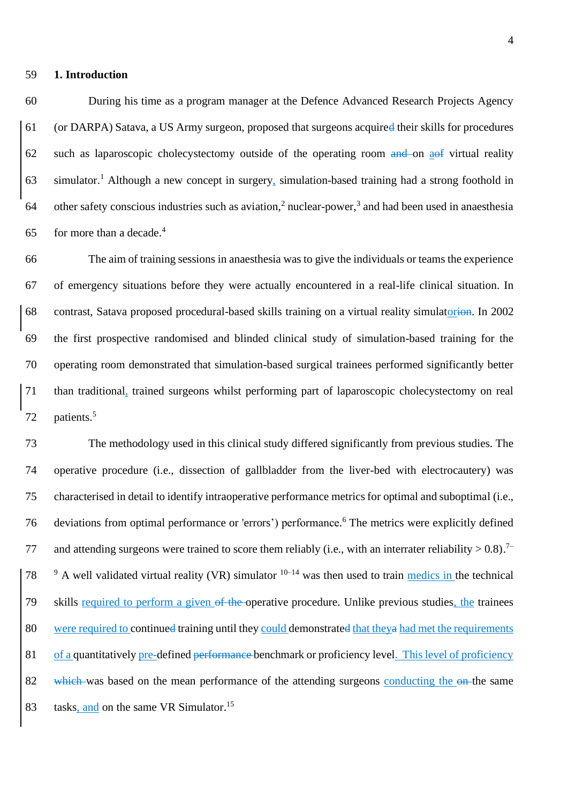## **1. Introduction**

 During his time as a program manager at the Defence Advanced Research Projects Agency (or DARPA) Satava, a US Army surgeon, proposed that surgeons acquired their skills for procedures such as laparoscopic cholecystectomy outside of the operating room and on aof virtual reality 63 simulator.<sup>1</sup> Although a new concept in surgery, simulation-based training had a strong foothold in 64 other safety conscious industries such as aviation,<sup>2</sup> nuclear-power,<sup>3</sup> and had been used in anaesthesia for more than a decade.<sup>4</sup> 

 The aim of training sessions in anaesthesia was to give the individuals or teams the experience of emergency situations before they were actually encountered in a real-life clinical situation. In contrast, Satava proposed procedural-based skills training on a virtual reality simulatorion. In 2002 the first prospective randomised and blinded clinical study of simulation-based training for the operating room demonstrated that simulation-based surgical trainees performed significantly better than traditional, trained surgeons whilst performing part of laparoscopic cholecystectomy on real patients. 5 

 The methodology used in this clinical study differed significantly from previous studies. The operative procedure (i.e., dissection of gallbladder from the liver-bed with electrocautery) was characterised in detail to identify intraoperative performance metrics for optimal and suboptimal (i.e., 76 deviations from optimal performance or 'errors') performance.<sup>6</sup> The metrics were explicitly defined and attending surgeons were trained to score them reliably (i.e., with an interrater reliability  $> 0.8$ ).<sup>7–</sup> 78  $\degree$  A well validated virtual reality (VR) simulator  $10^{-14}$  was then used to train medics in the technical skills required to perform a given of the operative procedure. Unlike previous studies, the trainees were required to continued training until they could demonstrated that theya had met the requirements of a quantitatively pre-defined performance benchmark or proficiency level. This level of proficiency 82 which was based on the mean performance of the attending surgeons conducting the on the same 83 tasks, and on the same VR Simulator.<sup>15</sup>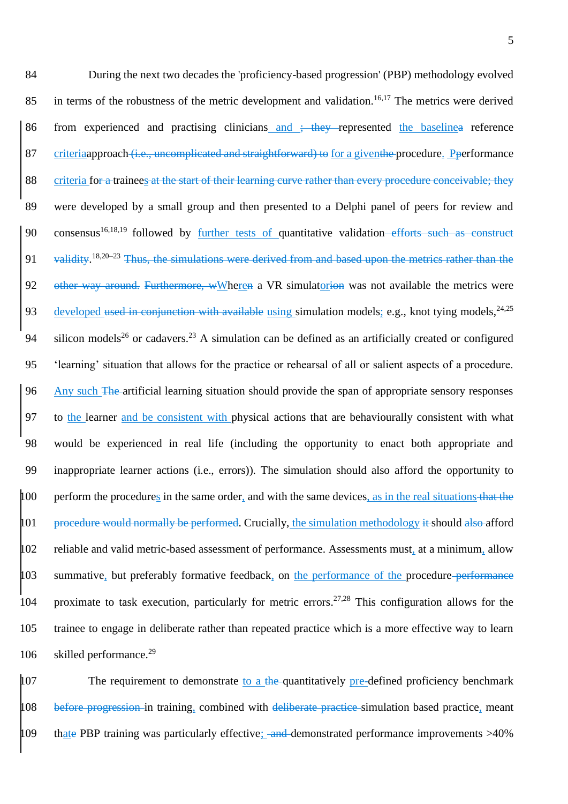84 During the next two decades the 'proficiency-based progression' (PBP) methodology evolved 85 in terms of the robustness of the metric development and validation.<sup>16,17</sup> The metrics were derived 86 from experienced and practising clinicians and ; they represented the baselinea reference 87 criteriaapproach (i.e., uncomplicated and straightforward) to for a giventhe procedure. Pperformance 88 criteria for a trainees at the start of their learning curve rather than every procedure conceivable; they 89 were developed by a small group and then presented to a Delphi panel of peers for review and 90 consensus<sup>16,18,19</sup> followed by further tests of quantitative validation–efforts such as construct 91 validity.<sup>18,20–23</sup> Thus, the simulations were derived from and based upon the metrics rather than the 92 other way around. Furthermore, wWheren a VR simulatorion was not available the metrics were 93 developed used in conjunction with available using simulation models; e.g., knot tying models,  $24,25$ 94 silicon models<sup>26</sup> or cadavers.<sup>23</sup> A simulation can be defined as an artificially created or configured 95 'learning' situation that allows for the practice or rehearsal of all or salient aspects of a procedure. 96 Any such The artificial learning situation should provide the span of appropriate sensory responses 97 to the learner and be consistent with physical actions that are behaviourally consistent with what 98 would be experienced in real life (including the opportunity to enact both appropriate and 99 inappropriate learner actions (i.e., errors)). The simulation should also afford the opportunity to 100 perform the procedures in the same order, and with the same devices, as in the real situations that the  $101$  procedure would normally be performed. Crucially, the simulation methodology it should also afford 102 reliable and valid metric-based assessment of performance. Assessments must, at a minimum, allow 103 summative, but preferably formative feedback, on the performance of the procedure performance 104 proximate to task execution, particularly for metric errors.<sup>27,28</sup> This configuration allows for the 105 trainee to engage in deliberate rather than repeated practice which is a more effective way to learn 106 skilled performance.<sup>29</sup>

 $107$  The requirement to demonstrate to a the quantitatively pre-defined proficiency benchmark 108 before progression in training, combined with deliberate practice simulation based practice, meant 109 that PBP training was particularly effective; and demonstrated performance improvements  $>40\%$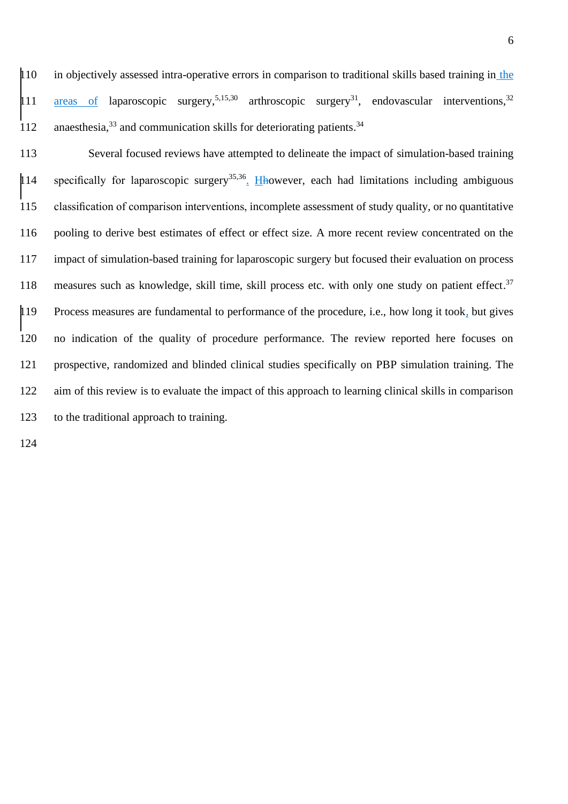in objectively assessed intra-operative errors in comparison to traditional skills based training in the 11 **areas of laparoscopic surgery**,<sup>5,15,30</sup> arthroscopic surgery<sup>31</sup>, endovascular interventions,<sup>32</sup> 112 anaesthesia,<sup>33</sup> and communication skills for deteriorating patients.<sup>34</sup>

 Several focused reviews have attempted to delineate the impact of simulation-based training 14 specifically for laparoscopic surgery<sup>35,36</sup>. Hhowever, each had limitations including ambiguous classification of comparison interventions, incomplete assessment of study quality, or no quantitative pooling to derive best estimates of effect or effect size. A more recent review concentrated on the impact of simulation-based training for laparoscopic surgery but focused their evaluation on process 118 measures such as knowledge, skill time, skill process etc. with only one study on patient effect.<sup>37</sup> Process measures are fundamental to performance of the procedure, i.e., how long it took, but gives no indication of the quality of procedure performance. The review reported here focuses on prospective, randomized and blinded clinical studies specifically on PBP simulation training. The aim of this review is to evaluate the impact of this approach to learning clinical skills in comparison to the traditional approach to training.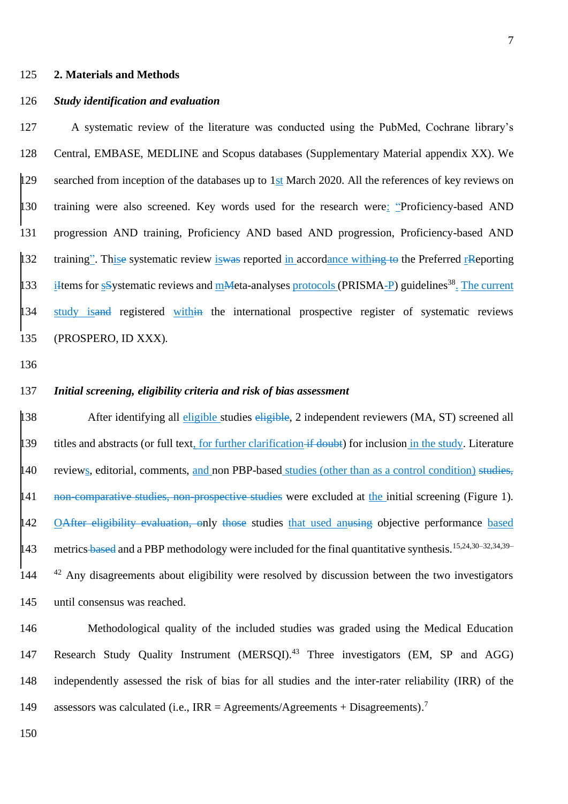#### 125 **2. Materials and Methods**

## 126 *Study identification and evaluation*

127 A systematic review of the literature was conducted using the PubMed, Cochrane library's 128 Central, EMBASE, MEDLINE and Scopus databases (Supplementary Material appendix XX). We 129 searched from inception of the databases up to 1st March 2020. All the references of key reviews on 130 training were also screened. Key words used for the research were: "Proficiency-based AND 131 progression AND training, Proficiency AND based AND progression, Proficiency-based AND 132 training". This esystematic review is was reported in accordance withing to the Preferred rReporting 133 iHtems for sSystematic reviews and mMeta-analyses protocols (PRISMA-P) guidelines<sup>38</sup>. The current 134 study isand registered within the international prospective register of systematic reviews 135 (PROSPERO, ID XXX).

136

#### 137 *Initial screening, eligibility criteria and risk of bias assessment*

138 After identifying all eligible studies eligible, 2 independent reviewers (MA, ST) screened all 139 titles and abstracts (or full text, for further clarification if doubt) for inclusion in the study. Literature 140 reviews, editorial, comments, and non PBP-based studies (other than as a control condition) studies, 141 non-comparative studies, non-prospective studies were excluded at the initial screening (Figure 1). 142 OAfter eligibility evaluation, only those studies that used anusing objective performance based metrics-based and a PBP methodology were included for the final quantitative synthesis.<sup>15,24,30–32,34,39–</sup> 143 <sup>42</sup> Any disagreements about eligibility were resolved by discussion between the two investigators 145 until consensus was reached.

146 Methodological quality of the included studies was graded using the Medical Education 147 Research Study Quality Instrument (MERSQI).<sup>43</sup> Three investigators (EM, SP and AGG) 148 independently assessed the risk of bias for all studies and the inter-rater reliability (IRR) of the assessors was calculated (i.e., IRR = Agreements/Agreements + Disagreements).<sup>7</sup> 149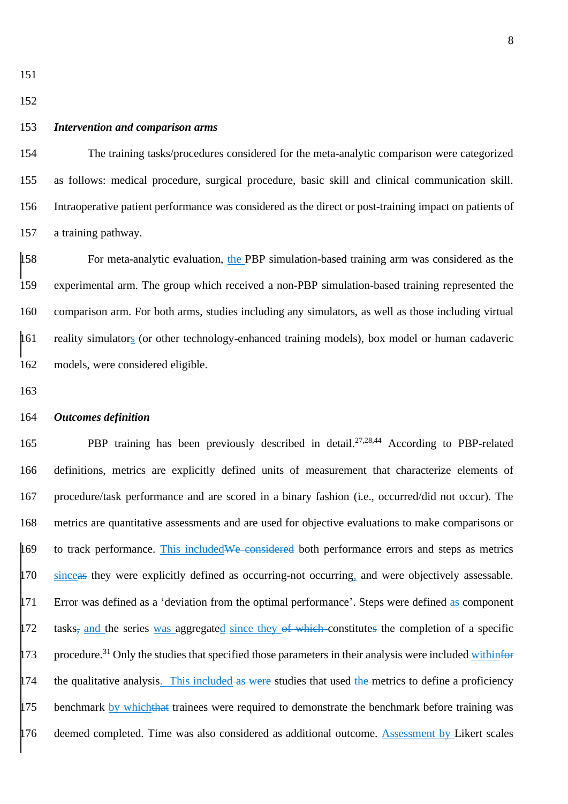#### *Intervention and comparison arms*

 The training tasks/procedures considered for the meta-analytic comparison were categorized as follows: medical procedure, surgical procedure, basic skill and clinical communication skill. Intraoperative patient performance was considered as the direct or post-training impact on patients of a training pathway.

 For meta-analytic evaluation, the PBP simulation-based training arm was considered as the experimental arm. The group which received a non-PBP simulation-based training represented the comparison arm. For both arms, studies including any simulators, as well as those including virtual reality simulators (or other technology-enhanced training models), box model or human cadaveric models, were considered eligible.

## *Outcomes definition*

165 PBP training has been previously described in detail.<sup>27,28,44</sup> According to PBP-related definitions, metrics are explicitly defined units of measurement that characterize elements of procedure/task performance and are scored in a binary fashion (i.e., occurred/did not occur). The metrics are quantitative assessments and are used for objective evaluations to make comparisons or 169 to track performance. This included We considered both performance errors and steps as metrics 170 sinceas they were explicitly defined as occurring-not occurring, and were objectively assessable. <sup>171</sup> Error was defined as a 'deviation from the optimal performance'. Steps were defined as component 172 tasks, and the series was aggregated since they of which constitutes the completion of a specific 173 procedure.<sup>31</sup> Only the studies that specified those parameters in their analysis were included withinform  $\frac{174}{4}$  the qualitative analysis. This included as were studies that used the metrics to define a proficiency 175 benchmark by whichthat trainees were required to demonstrate the benchmark before training was 176 deemed completed. Time was also considered as additional outcome. Assessment by Likert scales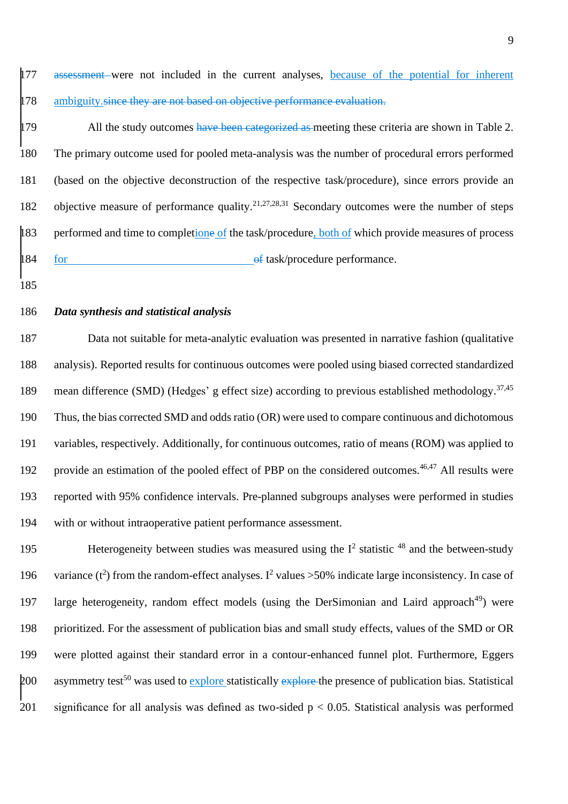177 assessment were not included in the current analyses, because of the potential for inherent 178 ambiguity. since they are not based on objective performance evaluation.

179 All the study outcomes have been categorized as meeting these criteria are shown in Table 2. 180 The primary outcome used for pooled meta-analysis was the number of procedural errors performed 181 (based on the objective deconstruction of the respective task/procedure), since errors provide an 182 objective measure of performance quality.<sup>21,27,28,31</sup> Secondary outcomes were the number of steps 183 performed and time to completione of the task/procedure, both of which provide measures of process 184 for **of task/procedure performance**.

185

# 186 *Data synthesis and statistical analysis*

 Data not suitable for meta-analytic evaluation was presented in narrative fashion (qualitative analysis). Reported results for continuous outcomes were pooled using biased corrected standardized 189 mean difference (SMD) (Hedges' g effect size) according to previous established methodology.<sup>37,45</sup> Thus, the bias corrected SMD and odds ratio (OR) were used to compare continuous and dichotomous variables, respectively. Additionally, for continuous outcomes, ratio of means (ROM) was applied to 192 provide an estimation of the pooled effect of PBP on the considered outcomes.<sup>46,47</sup> All results were reported with 95% confidence intervals. Pre-planned subgroups analyses were performed in studies with or without intraoperative patient performance assessment.

195 Heterogeneity between studies was measured using the  $I<sup>2</sup>$  statistic  $48$  and the between-study 196 variance  $(t^2)$  from the random-effect analyses. I<sup>2</sup> values >50% indicate large inconsistency. In case of 197 large heterogeneity, random effect models (using the DerSimonian and Laird approach<sup>49</sup>) were 198 prioritized. For the assessment of publication bias and small study effects, values of the SMD or OR 199 were plotted against their standard error in a contour-enhanced funnel plot. Furthermore, Eggers 200 asymmetry test<sup>50</sup> was used to explore statistically explore the presence of publication bias. Statistical 201 significance for all analysis was defined as two-sided  $p < 0.05$ . Statistical analysis was performed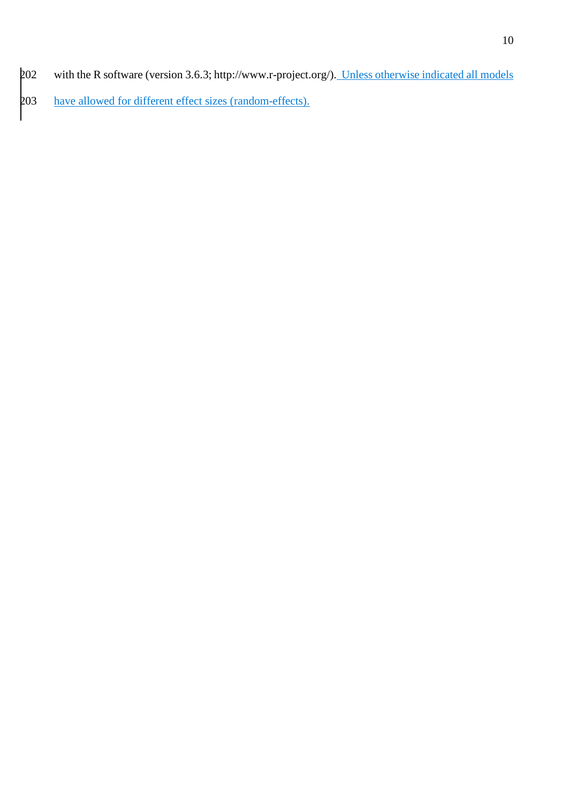202 with the R software (version 3.6.3[; http://www.r-project.org/\).](http://www.r-project.org/)) Unless otherwise indicated all models have allowed for different effect sizes (random-effects).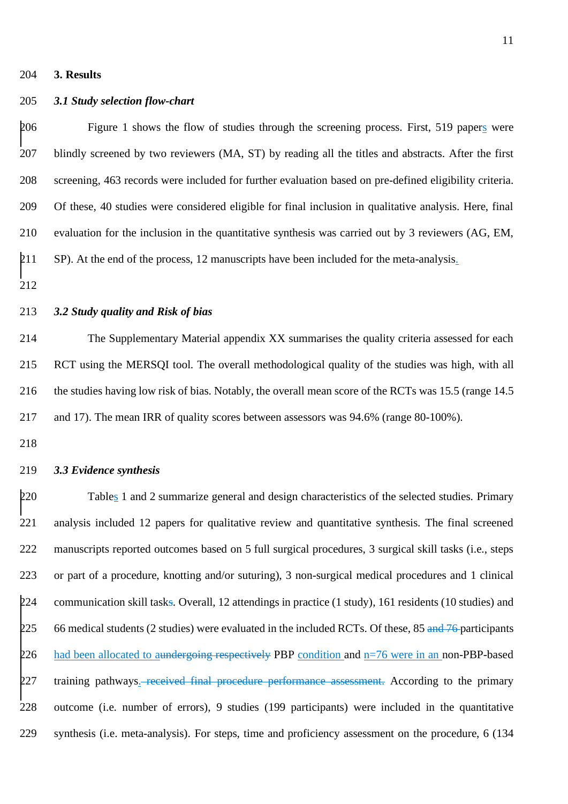#### **3. Results**

## *3.1 Study selection flow-chart*

 Figure 1 shows the flow of studies through the screening process. First, 519 papers were blindly screened by two reviewers (MA, ST) by reading all the titles and abstracts. After the first screening, 463 records were included for further evaluation based on pre-defined eligibility criteria. Of these, 40 studies were considered eligible for final inclusion in qualitative analysis. Here, final evaluation for the inclusion in the quantitative synthesis was carried out by 3 reviewers (AG, EM, 211 SP). At the end of the process, 12 manuscripts have been included for the meta-analysis.

# *3.2 Study quality and Risk of bias*

 The Supplementary Material appendix XX summarises the quality criteria assessed for each RCT using the MERSQI tool. The overall methodological quality of the studies was high, with all the studies having low risk of bias. Notably, the overall mean score of the RCTs was 15.5 (range 14.5 and 17). The mean IRR of quality scores between assessors was 94.6% (range 80-100%).

# *3.3 Evidence synthesis*

 Tables 1 and 2 summarize general and design characteristics of the selected studies. Primary analysis included 12 papers for qualitative review and quantitative synthesis. The final screened 222 manuscripts reported outcomes based on 5 full surgical procedures, 3 surgical skill tasks (i.e., steps or part of a procedure, knotting and/or suturing), 3 non-surgical medical procedures and 1 clinical 224 communication skill tasks. Overall, 12 attendings in practice (1 study), 161 residents (10 studies) and 225 66 medical students (2 studies) were evaluated in the included RCTs. Of these, 85 and 76-participants 226 had been allocated to aundergoing respectively PBP condition and  $n=76$  were in an non-PBP-based 227 training pathways. received final procedure performance assessment. According to the primary outcome (i.e. number of errors), 9 studies (199 participants) were included in the quantitative synthesis (i.e. meta-analysis). For steps, time and proficiency assessment on the procedure, 6 (134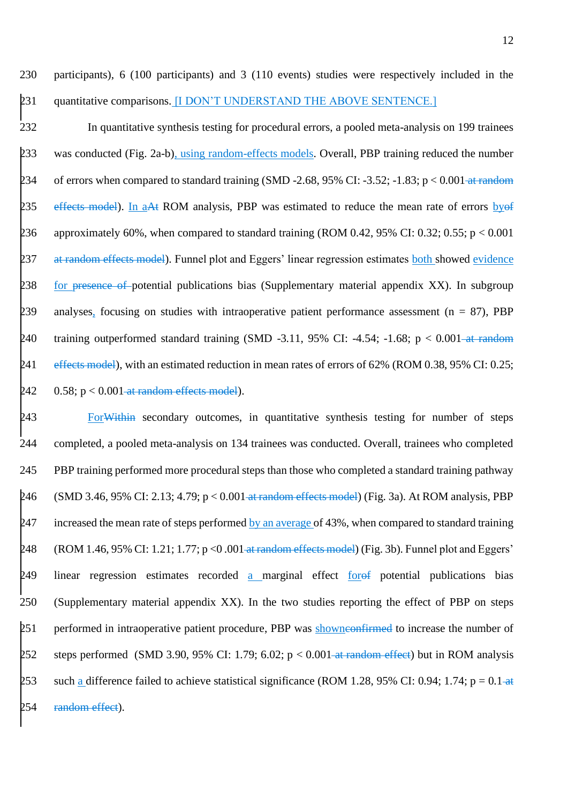230 participants), 6 (100 participants) and 3 (110 events) studies were respectively included in the 231 quantitative comparisons. [I DON'T UNDERSTAND THE ABOVE SENTENCE.]

232 In quantitative synthesis testing for procedural errors, a pooled meta-analysis on 199 trainees 233 was conducted (Fig. 2a-b), using random-effects models. Overall, PBP training reduced the number 234 of errors when compared to standard training (SMD -2.68, 95% CI: -3.52; -1.83; p < 0.001 at random 235 effects model). In aAt ROM analysis, PBP was estimated to reduce the mean rate of errors by of 236 approximately 60%, when compared to standard training (ROM 0.42, 95% CI: 0.32; 0.55;  $p < 0.001$ 237 at random effects model). Funnel plot and Eggers' linear regression estimates both showed evidence 238 for presence of potential publications bias (Supplementary material appendix XX). In subgroup 239 analyses, focusing on studies with intraoperative patient performance assessment ( $n = 87$ ), PBP 240 training outperformed standard training (SMD -3.11, 95% CI: -4.54; -1.68;  $p < 0.001$ -at random 241 effects model), with an estimated reduction in mean rates of errors of 62% (ROM 0.38, 95% CI: 0.25; 242  $0.58$ ;  $p < 0.001$  at random effects model).

243 For Within secondary outcomes, in quantitative synthesis testing for number of steps 244 completed, a pooled meta-analysis on 134 trainees was conducted. Overall, trainees who completed 245 PBP training performed more procedural steps than those who completed a standard training pathway 246 (SMD 3.46, 95% CI: 2.13; 4.79;  $p < 0.001$  at random effects model) (Fig. 3a). At ROM analysis, PBP 247 increased the mean rate of steps performed by an average of 43%, when compared to standard training 248 (ROM 1.46, 95% CI: 1.21; 1.77; p < 0.001 at random effects model) (Fig. 3b). Funnel plot and Eggers' 249 linear regression estimates recorded a marginal effect forof potential publications bias 250 (Supplementary material appendix XX). In the two studies reporting the effect of PBP on steps 251 performed in intraoperative patient procedure, PBP was showneenfirmed to increase the number of 252 steps performed (SMD 3.90, 95% CI: 1.79; 6.02;  $p < 0.001$  at random effect) but in ROM analysis 253 such a difference failed to achieve statistical significance (ROM 1.28, 95% CI: 0.94; 1.74; p = 0.1-at 254 random effect).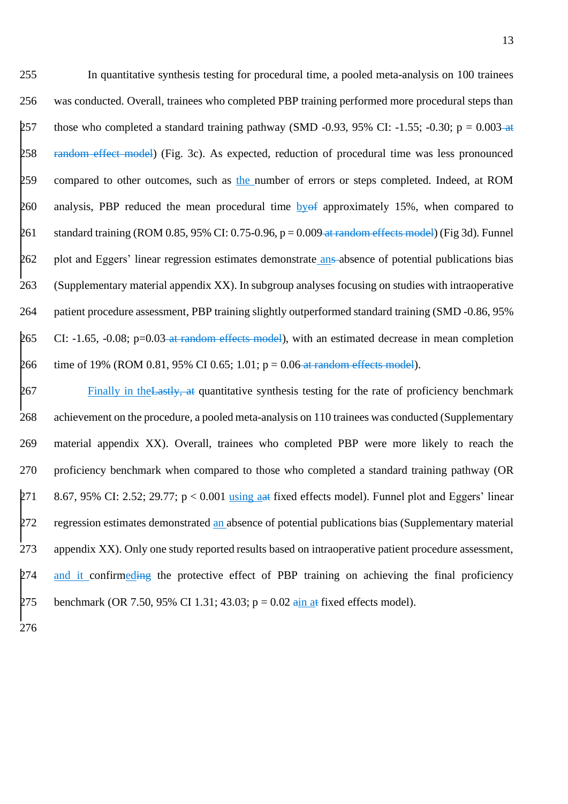255 In quantitative synthesis testing for procedural time, a pooled meta-analysis on 100 trainees 256 was conducted. Overall, trainees who completed PBP training performed more procedural steps than 257 those who completed a standard training pathway (SMD -0.93, 95% CI: -1.55; -0.30; p = 0.003-at 258 random effect model) (Fig. 3c). As expected, reduction of procedural time was less pronounced 259 compared to other outcomes, such as the number of errors or steps completed. Indeed, at ROM 260 analysis, PBP reduced the mean procedural time by  $\theta$  approximately 15%, when compared to 261 standard training (ROM 0.85, 95% CI: 0.75-0.96,  $p = 0.009$  at random effects model) (Fig 3d). Funnel 262 plot and Eggers' linear regression estimates demonstrate ans absence of potential publications bias 263 (Supplementary material appendix XX). In subgroup analyses focusing on studies with intraoperative 264 patient procedure assessment, PBP training slightly outperformed standard training (SMD -0.86, 95% 265 CI: -1.65, -0.08; p=0.03-at random effects model), with an estimated decrease in mean completion 266 time of 19% (ROM 0.81, 95% CI 0.65; 1.01;  $p = 0.06$  at random effects model).

267 Finally in the Lastly, at quantitative synthesis testing for the rate of proficiency benchmark 268 achievement on the procedure, a pooled meta-analysis on 110 trainees was conducted (Supplementary 269 material appendix XX). Overall, trainees who completed PBP were more likely to reach the 270 proficiency benchmark when compared to those who completed a standard training pathway (OR 271 8.67, 95% CI: 2.52; 29.77;  $p < 0.001$  using a tixed effects model). Funnel plot and Eggers' linear 272 regression estimates demonstrated an absence of potential publications bias (Supplementary material 273 appendix XX). Only one study reported results based on intraoperative patient procedure assessment, 274 and it confirmeding the protective effect of PBP training on achieving the final proficiency 275 benchmark (OR 7.50, 95% CI 1.31; 43.03;  $p = 0.02$  ain at fixed effects model).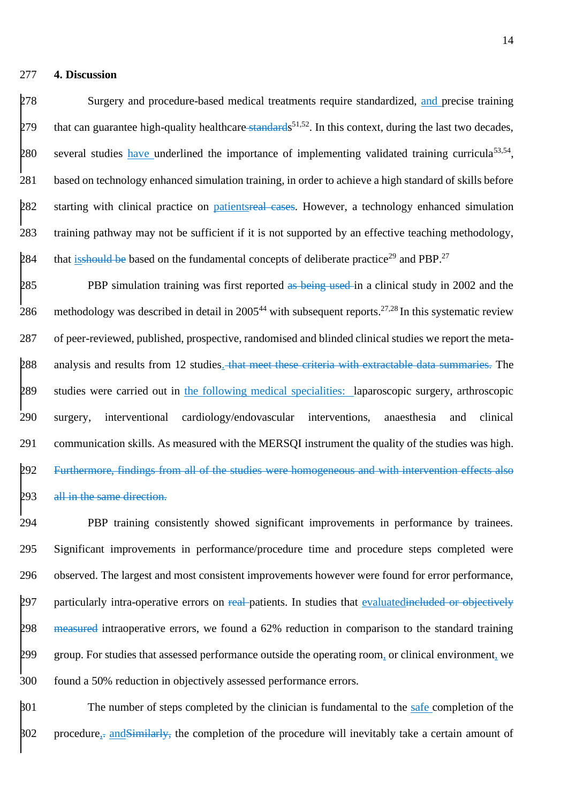#### 277 **4. Discussion**

278 Surgery and procedure-based medical treatments require standardized, and precise training  $279$  that can guarantee high-quality healthcare-standards<sup>51,52</sup>. In this context, during the last two decades, 280 several studies have underlined the importance of implementing validated training curricula<sup>53,54</sup>, 281 based on technology enhanced simulation training, in order to achieve a high standard of skills before 282 starting with clinical practice on patientsreal cases. However, a technology enhanced simulation 283 training pathway may not be sufficient if it is not supported by an effective teaching methodology, 284 that is should be based on the fundamental concepts of deliberate practice<sup>29</sup> and PBP.<sup>27</sup>

285 PBP simulation training was first reported as being used in a clinical study in 2002 and the 286 methodology was described in detail in 2005<sup>44</sup> with subsequent reports.<sup>27,28</sup> In this systematic review 287 of peer-reviewed, published, prospective, randomised and blinded clinical studies we report the meta-288 analysis and results from 12 studies. that meet these criteria with extractable data summaries. The 289 studies were carried out in the following medical specialities: laparoscopic surgery, arthroscopic 290 surgery, interventional cardiology/endovascular interventions, anaesthesia and clinical 291 communication skills. As measured with the MERSQI instrument the quality of the studies was high. 292 Furthermore, findings from all of the studies were homogeneous and with intervention effects also 293 all in the same direction.

 PBP training consistently showed significant improvements in performance by trainees. Significant improvements in performance/procedure time and procedure steps completed were observed. The largest and most consistent improvements however were found for error performance, 297 particularly intra-operative errors on real-patients. In studies that evaluatedincluded or objectively 298 measured intraoperative errors, we found a 62% reduction in comparison to the standard training group. For studies that assessed performance outside the operating room, or clinical environment, we found a 50% reduction in objectively assessed performance errors.

 $\frac{1}{301}$  The number of steps completed by the clinician is fundamental to the safe completion of the  $\beta$ 02 procedure, and Similarly, the completion of the procedure will inevitably take a certain amount of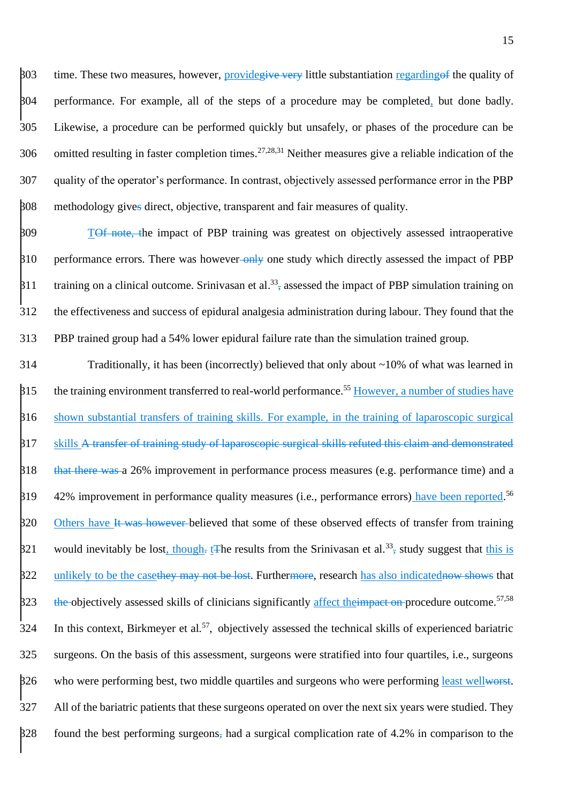$\frac{1}{203}$  time. These two measures, however, provide<del>give very</del> little substantiation regarding of the quality of performance. For example, all of the steps of a procedure may be completed, but done badly. Likewise, a procedure can be performed quickly but unsafely, or phases of the procedure can be 306 omitted resulting in faster completion times.<sup>27,28,31</sup> Neither measures give a reliable indication of the quality of the operator's performance. In contrast, objectively assessed performance error in the PBP methodology gives direct, objective, transparent and fair measures of quality.

309 T<del>Of note, t</del>he impact of PBP training was greatest on objectively assessed intraoperative  $\beta$ 10 performance errors. There was however-only one study which directly assessed the impact of PBP  $\beta$ 11 training on a clinical outcome. Srinivasan et al.<sup>33</sup>, assessed the impact of PBP simulation training on 312 the effectiveness and success of epidural analgesia administration during labour. They found that the 313 PBP trained group had a 54% lower epidural failure rate than the simulation trained group.

314 Traditionally, it has been (incorrectly) believed that only about ~10% of what was learned in  $\beta$ 15 the training environment transferred to real-world performance.<sup>55</sup> However, a number of studies have 316 shown substantial transfers of training skills. For example, in the training of laparoscopic surgical 317 skills A transfer of training study of laparoscopic surgical skills refuted this claim and demonstrated  $\frac{1}{318}$  that there was a 26% improvement in performance process measures (e.g. performance time) and a \$19 42% improvement in performance quality measures (i.e., performance errors) have been reported.<sup>56</sup> 320 Others have It was however believed that some of these observed effects of transfer from training  $\frac{1}{2}$  would inevitably be lost, though-t The results from the Srinivasan et al.<sup>33</sup> study suggest that this is 322 unlikely to be the casethey may not be lost. Furthermore, research has also indicatednow shows that \$23 the objectively assessed skills of clinicians significantly affect the impact on procedure outcome.<sup>57,58</sup> 324 In this context, Birkmeyer et al.<sup>57</sup>, objectively assessed the technical skills of experienced bariatric 325 surgeons. On the basis of this assessment, surgeons were stratified into four quartiles, i.e., surgeons 326 who were performing best, two middle quartiles and surgeons who were performing <u>least wellworst</u>. 327 All of the bariatric patients that these surgeons operated on over the next six years were studied. They  $\frac{1}{228}$  found the best performing surgeons, had a surgical complication rate of 4.2% in comparison to the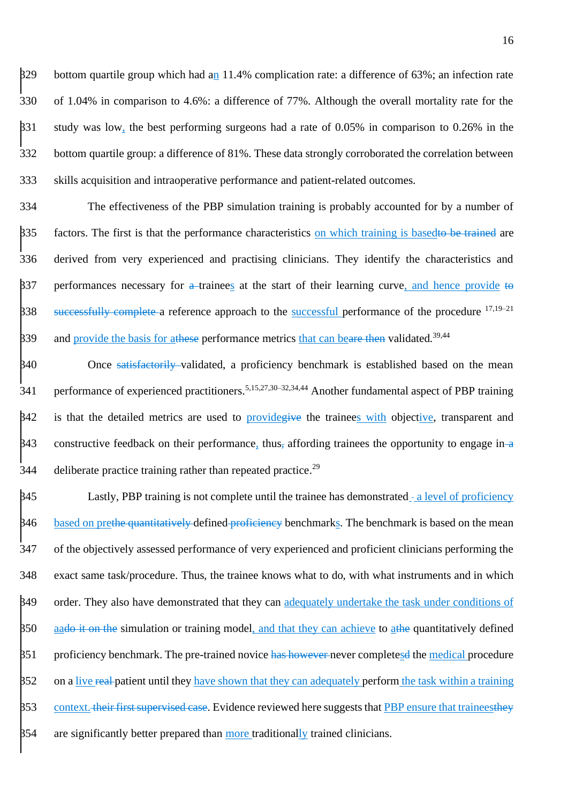$\frac{329}{12}$  bottom quartile group which had an 11.4% complication rate: a difference of 63%; an infection rate of 1.04% in comparison to 4.6%: a difference of 77%. Although the overall mortality rate for the study was low, the best performing surgeons had a rate of 0.05% in comparison to 0.26% in the bottom quartile group: a difference of 81%. These data strongly corroborated the correlation between skills acquisition and intraoperative performance and patient-related outcomes.

334 The effectiveness of the PBP simulation training is probably accounted for by a number of 335 factors. The first is that the performance characteristics on which training is based to be trained are 336 derived from very experienced and practising clinicians. They identify the characteristics and  $\beta$ 37 performances necessary for a trainees at the start of their learning curve, and hence provide to B38 successfully complete a reference approach to the successful performance of the procedure <sup>17,19–21</sup>  $\beta$ 39 and provide the basis for at these performance metrics that can beare then validated.<sup>39,44</sup>

340 Once satisfactorily validated, a proficiency benchmark is established based on the mean 341 performance of experienced practitioners.<sup>5,15,27,30–32,34,44</sup> Another fundamental aspect of PBP training  $\beta$ 42 is that the detailed metrics are used to provide give the trainees with objective, transparent and  $\beta$ 43 constructive feedback on their performance, thus, affording trainees the opportunity to engage in  $\alpha$ 344 deliberate practice training rather than repeated practice.<sup>29</sup>

 $\frac{1}{2}$  Lastly, PBP training is not complete until the trainee has demonstrated - a level of proficiency 346 based on prethe quantitatively defined proficiency benchmarks. The benchmark is based on the mean 347 of the objectively assessed performance of very experienced and proficient clinicians performing the 348 exact same task/procedure. Thus, the trainee knows what to do, with what instruments and in which 349 order. They also have demonstrated that they can adequately undertake the task under conditions of  $350$  aa<del>do it on the</del> simulation or training model, and that they can achieve to athe quantitatively defined 351 proficiency benchmark. The pre-trained novice has however never completesd the medical procedure 352 on a live real-patient until they have shown that they can adequately perform the task within a training  $353$  context. their first supervised case. Evidence reviewed here suggests that PBP ensure that trainees they  $\frac{354}{12}$  are significantly better prepared than more traditionally trained clinicians.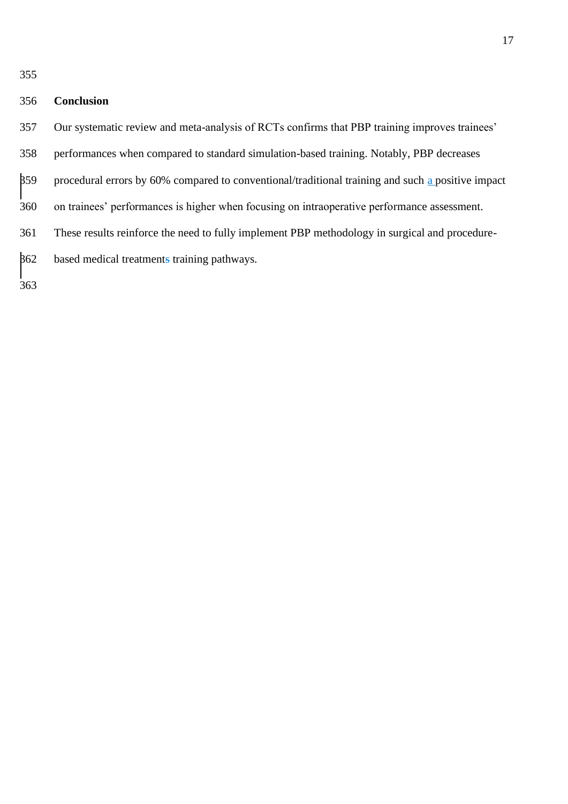|               | <b>SALE</b> | <b>SALE</b> |
|---------------|-------------|-------------|
| ۰.<br>۰.<br>× | v           | I<br>v      |

# **Conclusion**

- Our systematic review and meta-analysis of RCTs confirms that PBP training improves trainees'
- performances when compared to standard simulation-based training. Notably, PBP decreases
- $\frac{1}{359}$  procedural errors by 60% compared to conventional/traditional training and such a positive impact
- on trainees' performances is higher when focusing on intraoperative performance assessment.
- These results reinforce the need to fully implement PBP methodology in surgical and procedure-
- based medical treatments training pathways.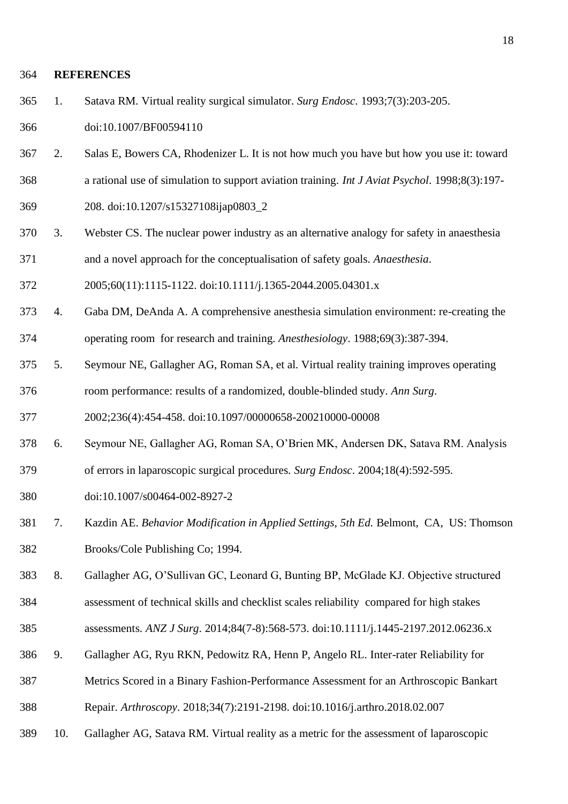#### **REFERENCES**

1. Satava RM. Virtual reality surgical simulator. *Surg Endosc*. 1993;7(3):203-205.

doi:10.1007/BF00594110

- 2. Salas E, Bowers CA, Rhodenizer L. It is not how much you have but how you use it: toward
- a rational use of simulation to support aviation training. *Int J Aviat Psychol*. 1998;8(3):197-
- 208. doi:10.1207/s15327108ijap0803\_2
- 3. Webster CS. The nuclear power industry as an alternative analogy for safety in anaesthesia and a novel approach for the conceptualisation of safety goals. *Anaesthesia*.
- 2005;60(11):1115-1122. doi:10.1111/j.1365-2044.2005.04301.x
- 4. Gaba DM, DeAnda A. A comprehensive anesthesia simulation environment: re-creating the operating room for research and training. *Anesthesiology*. 1988;69(3):387-394.
- 5. Seymour NE, Gallagher AG, Roman SA, et al. Virtual reality training improves operating room performance: results of a randomized, double-blinded study. *Ann Surg*.

2002;236(4):454-458. doi:10.1097/00000658-200210000-00008

- 6. Seymour NE, Gallagher AG, Roman SA, O'Brien MK, Andersen DK, Satava RM. Analysis
- of errors in laparoscopic surgical procedures. *Surg Endosc*. 2004;18(4):592-595.
- doi:10.1007/s00464-002-8927-2
- 7. Kazdin AE. *Behavior Modification in Applied Settings, 5th Ed.* Belmont, CA, US: Thomson Brooks/Cole Publishing Co; 1994.
- 8. Gallagher AG, O'Sullivan GC, Leonard G, Bunting BP, McGlade KJ. Objective structured
- assessment of technical skills and checklist scales reliability compared for high stakes
- assessments. *ANZ J Surg*. 2014;84(7-8):568-573. doi:10.1111/j.1445-2197.2012.06236.x
- 9. Gallagher AG, Ryu RKN, Pedowitz RA, Henn P, Angelo RL. Inter-rater Reliability for
- Metrics Scored in a Binary Fashion-Performance Assessment for an Arthroscopic Bankart
- Repair. *Arthroscopy*. 2018;34(7):2191-2198. doi:10.1016/j.arthro.2018.02.007
- 10. Gallagher AG, Satava RM. Virtual reality as a metric for the assessment of laparoscopic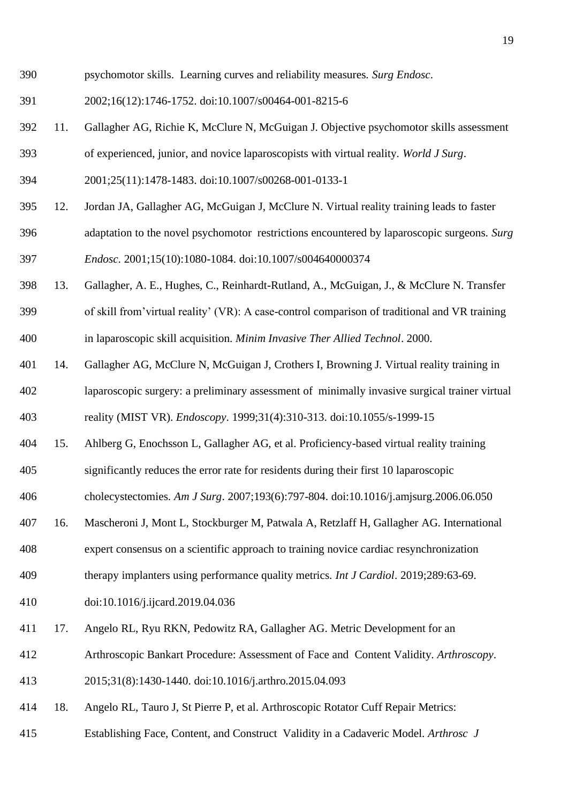- psychomotor skills. Learning curves and reliability measures. *Surg Endosc*.
- 2002;16(12):1746-1752. doi:10.1007/s00464-001-8215-6
- 11. Gallagher AG, Richie K, McClure N, McGuigan J. Objective psychomotor skills assessment
- of experienced, junior, and novice laparoscopists with virtual reality. *World J Surg*.
- 2001;25(11):1478-1483. doi:10.1007/s00268-001-0133-1
- 12. Jordan JA, Gallagher AG, McGuigan J, McClure N. Virtual reality training leads to faster
- adaptation to the novel psychomotor restrictions encountered by laparoscopic surgeons. *Surg Endosc*. 2001;15(10):1080-1084. doi:10.1007/s004640000374
- 13. Gallagher, A. E., Hughes, C., Reinhardt-Rutland, A., McGuigan, J., & McClure N. Transfer

 of skill from'virtual reality' (VR): A case-control comparison of traditional and VR training in laparoscopic skill acquisition. *Minim Invasive Ther Allied Technol*. 2000.

 14. Gallagher AG, McClure N, McGuigan J, Crothers I, Browning J. Virtual reality training in laparoscopic surgery: a preliminary assessment of minimally invasive surgical trainer virtual

reality (MIST VR). *Endoscopy*. 1999;31(4):310-313. doi:10.1055/s-1999-15

- 15. Ahlberg G, Enochsson L, Gallagher AG, et al. Proficiency-based virtual reality training
- significantly reduces the error rate for residents during their first 10 laparoscopic

cholecystectomies. *Am J Surg*. 2007;193(6):797-804. doi:10.1016/j.amjsurg.2006.06.050

- 16. Mascheroni J, Mont L, Stockburger M, Patwala A, Retzlaff H, Gallagher AG. International
- expert consensus on a scientific approach to training novice cardiac resynchronization
- therapy implanters using performance quality metrics. *Int J Cardiol*. 2019;289:63-69.
- doi:10.1016/j.ijcard.2019.04.036
- 17. Angelo RL, Ryu RKN, Pedowitz RA, Gallagher AG. Metric Development for an
- Arthroscopic Bankart Procedure: Assessment of Face and Content Validity. *Arthroscopy*.
- 2015;31(8):1430-1440. doi:10.1016/j.arthro.2015.04.093
- 18. Angelo RL, Tauro J, St Pierre P, et al. Arthroscopic Rotator Cuff Repair Metrics:
- Establishing Face, Content, and Construct Validity in a Cadaveric Model. *Arthrosc J*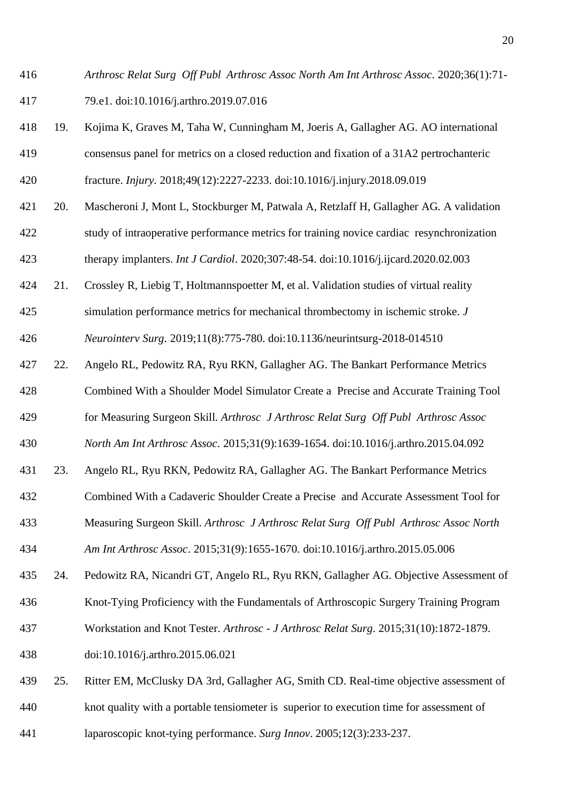*Arthrosc Relat Surg Off Publ Arthrosc Assoc North Am Int Arthrosc Assoc*. 2020;36(1):71- 79.e1. doi:10.1016/j.arthro.2019.07.016

- 19. Kojima K, Graves M, Taha W, Cunningham M, Joeris A, Gallagher AG. AO international consensus panel for metrics on a closed reduction and fixation of a 31A2 pertrochanteric fracture. *Injury*. 2018;49(12):2227-2233. doi:10.1016/j.injury.2018.09.019
- 20. Mascheroni J, Mont L, Stockburger M, Patwala A, Retzlaff H, Gallagher AG. A validation study of intraoperative performance metrics for training novice cardiac resynchronization therapy implanters. *Int J Cardiol*. 2020;307:48-54. doi:10.1016/j.ijcard.2020.02.003
- 21. Crossley R, Liebig T, Holtmannspoetter M, et al. Validation studies of virtual reality
- simulation performance metrics for mechanical thrombectomy in ischemic stroke. *J Neurointerv Surg*. 2019;11(8):775-780. doi:10.1136/neurintsurg-2018-014510
- 22. Angelo RL, Pedowitz RA, Ryu RKN, Gallagher AG. The Bankart Performance Metrics
- Combined With a Shoulder Model Simulator Create a Precise and Accurate Training Tool
- for Measuring Surgeon Skill. *Arthrosc J Arthrosc Relat Surg Off Publ Arthrosc Assoc*
- *North Am Int Arthrosc Assoc*. 2015;31(9):1639-1654. doi:10.1016/j.arthro.2015.04.092
- 23. Angelo RL, Ryu RKN, Pedowitz RA, Gallagher AG. The Bankart Performance Metrics
- Combined With a Cadaveric Shoulder Create a Precise and Accurate Assessment Tool for
- Measuring Surgeon Skill. *Arthrosc J Arthrosc Relat Surg Off Publ Arthrosc Assoc North*
- *Am Int Arthrosc Assoc*. 2015;31(9):1655-1670. doi:10.1016/j.arthro.2015.05.006
- 24. Pedowitz RA, Nicandri GT, Angelo RL, Ryu RKN, Gallagher AG. Objective Assessment of
- Knot-Tying Proficiency with the Fundamentals of Arthroscopic Surgery Training Program
- Workstation and Knot Tester. *Arthrosc - J Arthrosc Relat Surg*. 2015;31(10):1872-1879.
- doi:10.1016/j.arthro.2015.06.021
- 25. Ritter EM, McClusky DA 3rd, Gallagher AG, Smith CD. Real-time objective assessment of knot quality with a portable tensiometer is superior to execution time for assessment of laparoscopic knot-tying performance. *Surg Innov*. 2005;12(3):233-237.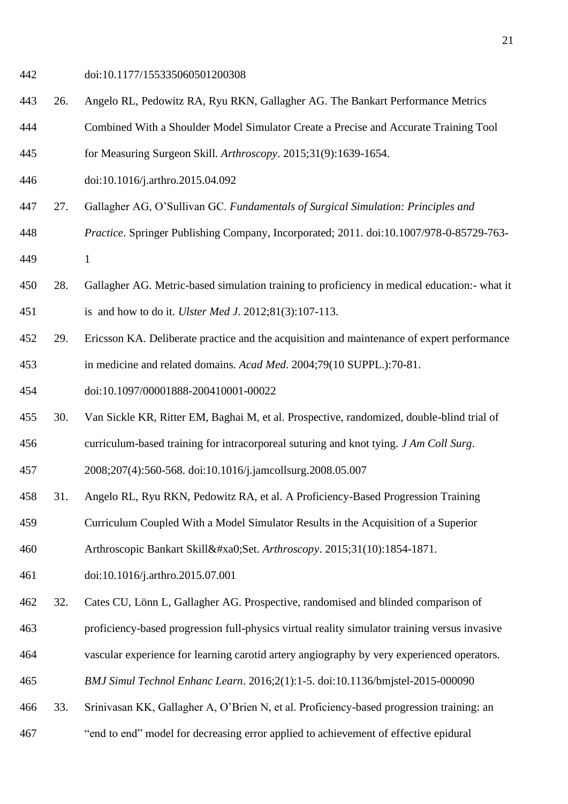- doi:10.1177/155335060501200308
- 26. Angelo RL, Pedowitz RA, Ryu RKN, Gallagher AG. The Bankart Performance Metrics
- Combined With a Shoulder Model Simulator Create a Precise and Accurate Training Tool
- for Measuring Surgeon Skill. *Arthroscopy*. 2015;31(9):1639-1654.
- doi:10.1016/j.arthro.2015.04.092
- 27. Gallagher AG, O'Sullivan GC. *Fundamentals of Surgical Simulation: Principles and*
- *Practice*. Springer Publishing Company, Incorporated; 2011. doi:10.1007/978-0-85729-763-
- 1
- 28. Gallagher AG. Metric-based simulation training to proficiency in medical education:- what it is and how to do it. *Ulster Med J*. 2012;81(3):107-113.
- 29. Ericsson KA. Deliberate practice and the acquisition and maintenance of expert performance in medicine and related domains. *Acad Med*. 2004;79(10 SUPPL.):70-81.
- doi:10.1097/00001888-200410001-00022
- 30. Van Sickle KR, Ritter EM, Baghai M, et al. Prospective, randomized, double-blind trial of curriculum-based training for intracorporeal suturing and knot tying. *J Am Coll Surg*.
- 
- 2008;207(4):560-568. doi:10.1016/j.jamcollsurg.2008.05.007
- 31. Angelo RL, Ryu RKN, Pedowitz RA, et al. A Proficiency-Based Progression Training
- Curriculum Coupled With a Model Simulator Results in the Acquisition of a Superior
- Arthroscopic Bankart Skill Set. *Arthroscopy*. 2015;31(10):1854-1871.
- doi:10.1016/j.arthro.2015.07.001
- 32. Cates CU, Lönn L, Gallagher AG. Prospective, randomised and blinded comparison of
- proficiency-based progression full-physics virtual reality simulator training versus invasive
- vascular experience for learning carotid artery angiography by very experienced operators.
- *BMJ Simul Technol Enhanc Learn*. 2016;2(1):1-5. doi:10.1136/bmjstel-2015-000090
- 33. Srinivasan KK, Gallagher A, O'Brien N, et al. Proficiency-based progression training: an
- "end to end" model for decreasing error applied to achievement of effective epidural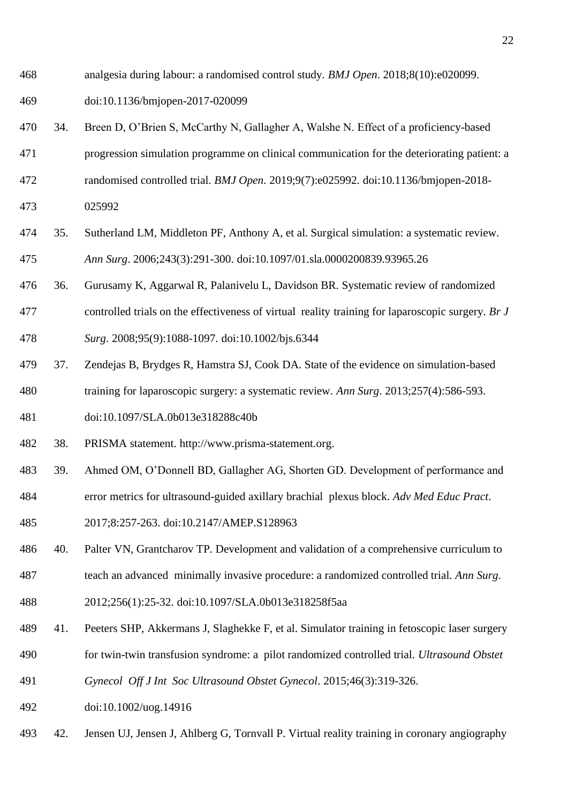analgesia during labour: a randomised control study. *BMJ Open*. 2018;8(10):e020099.

doi:10.1136/bmjopen-2017-020099

- 34. Breen D, O'Brien S, McCarthy N, Gallagher A, Walshe N. Effect of a proficiency-based
- progression simulation programme on clinical communication for the deteriorating patient: a
- randomised controlled trial. *BMJ Open*. 2019;9(7):e025992. doi:10.1136/bmjopen-2018-
- 025992
- 35. Sutherland LM, Middleton PF, Anthony A, et al. Surgical simulation: a systematic review. *Ann Surg*. 2006;243(3):291-300. doi:10.1097/01.sla.0000200839.93965.26
- 36. Gurusamy K, Aggarwal R, Palanivelu L, Davidson BR. Systematic review of randomized
- controlled trials on the effectiveness of virtual reality training for laparoscopic surgery. *Br J*
- *Surg*. 2008;95(9):1088-1097. doi:10.1002/bjs.6344
- 37. Zendejas B, Brydges R, Hamstra SJ, Cook DA. State of the evidence on simulation-based training for laparoscopic surgery: a systematic review. *Ann Surg*. 2013;257(4):586-593.
- doi:10.1097/SLA.0b013e318288c40b
- 38. PRISMA statement. http://www.prisma-statement.org.
- 39. Ahmed OM, O'Donnell BD, Gallagher AG, Shorten GD. Development of performance and
- error metrics for ultrasound-guided axillary brachial plexus block. *Adv Med Educ Pract*.
- 2017;8:257-263. doi:10.2147/AMEP.S128963
- 40. Palter VN, Grantcharov TP. Development and validation of a comprehensive curriculum to
- teach an advanced minimally invasive procedure: a randomized controlled trial. *Ann Surg*.
- 2012;256(1):25-32. doi:10.1097/SLA.0b013e318258f5aa
- 41. Peeters SHP, Akkermans J, Slaghekke F, et al. Simulator training in fetoscopic laser surgery
- for twin-twin transfusion syndrome: a pilot randomized controlled trial. *Ultrasound Obstet*
- *Gynecol Off J Int Soc Ultrasound Obstet Gynecol*. 2015;46(3):319-326.
- doi:10.1002/uog.14916
- 42. Jensen UJ, Jensen J, Ahlberg G, Tornvall P. Virtual reality training in coronary angiography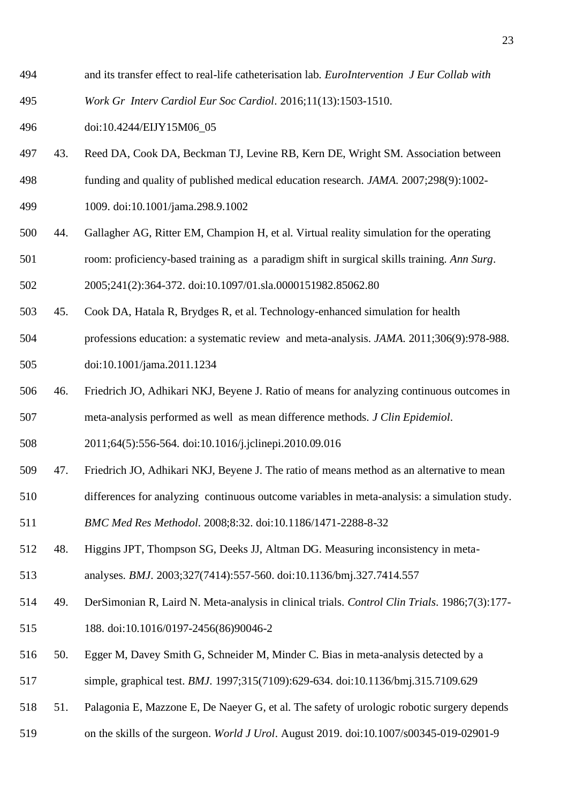- and its transfer effect to real-life catheterisation lab. *EuroIntervention J Eur Collab with*
- *Work Gr Interv Cardiol Eur Soc Cardiol*. 2016;11(13):1503-1510.

doi:10.4244/EIJY15M06\_05

- 43. Reed DA, Cook DA, Beckman TJ, Levine RB, Kern DE, Wright SM. Association between funding and quality of published medical education research. *JAMA*. 2007;298(9):1002-
- 1009. doi:10.1001/jama.298.9.1002
- 44. Gallagher AG, Ritter EM, Champion H, et al. Virtual reality simulation for the operating room: proficiency-based training as a paradigm shift in surgical skills training. *Ann Surg*.
- 2005;241(2):364-372. doi:10.1097/01.sla.0000151982.85062.80
- 45. Cook DA, Hatala R, Brydges R, et al. Technology-enhanced simulation for health professions education: a systematic review and meta-analysis. *JAMA*. 2011;306(9):978-988.

doi:10.1001/jama.2011.1234

 46. Friedrich JO, Adhikari NKJ, Beyene J. Ratio of means for analyzing continuous outcomes in meta-analysis performed as well as mean difference methods. *J Clin Epidemiol*.

2011;64(5):556-564. doi:10.1016/j.jclinepi.2010.09.016

- 47. Friedrich JO, Adhikari NKJ, Beyene J. The ratio of means method as an alternative to mean
- differences for analyzing continuous outcome variables in meta-analysis: a simulation study.
- *BMC Med Res Methodol*. 2008;8:32. doi:10.1186/1471-2288-8-32
- 48. Higgins JPT, Thompson SG, Deeks JJ, Altman DG. Measuring inconsistency in meta-

analyses. *BMJ*. 2003;327(7414):557-560. doi:10.1136/bmj.327.7414.557

- 49. DerSimonian R, Laird N. Meta-analysis in clinical trials. *Control Clin Trials*. 1986;7(3):177- 188. doi:10.1016/0197-2456(86)90046-2
- 50. Egger M, Davey Smith G, Schneider M, Minder C. Bias in meta-analysis detected by a
- simple, graphical test. *BMJ*. 1997;315(7109):629-634. doi:10.1136/bmj.315.7109.629
- 51. Palagonia E, Mazzone E, De Naeyer G, et al. The safety of urologic robotic surgery depends
- on the skills of the surgeon. *World J Urol*. August 2019. doi:10.1007/s00345-019-02901-9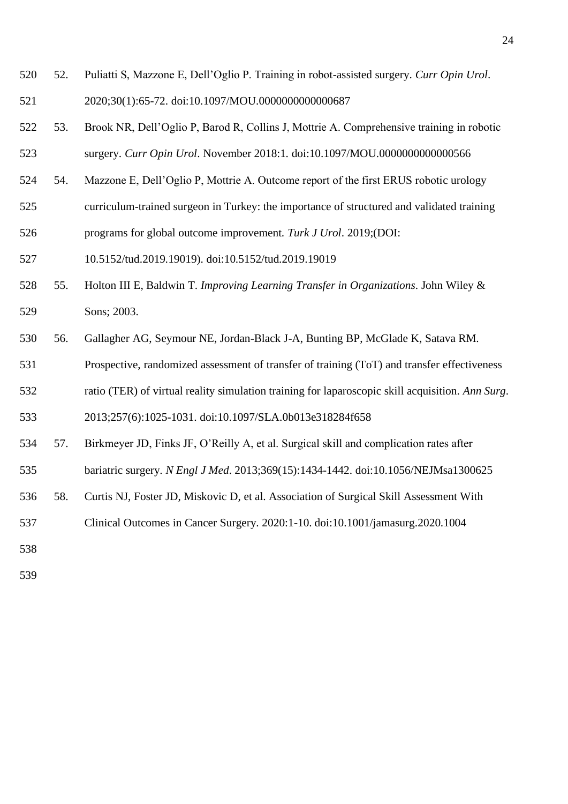- 52. Puliatti S, Mazzone E, Dell'Oglio P. Training in robot-assisted surgery. *Curr Opin Urol*. 2020;30(1):65-72. doi:10.1097/MOU.0000000000000687
- 53. Brook NR, Dell'Oglio P, Barod R, Collins J, Mottrie A. Comprehensive training in robotic surgery. *Curr Opin Urol*. November 2018:1. doi:10.1097/MOU.0000000000000566
- 54. Mazzone E, Dell'Oglio P, Mottrie A. Outcome report of the first ERUS robotic urology
- curriculum-trained surgeon in Turkey: the importance of structured and validated training
- programs for global outcome improvement. *Turk J Urol*. 2019;(DOI:
- 10.5152/tud.2019.19019). doi:10.5152/tud.2019.19019
- 55. Holton III E, Baldwin T. *Improving Learning Transfer in Organizations*. John Wiley & Sons; 2003.
- 56. Gallagher AG, Seymour NE, Jordan-Black J-A, Bunting BP, McGlade K, Satava RM.
- Prospective, randomized assessment of transfer of training (ToT) and transfer effectiveness
- ratio (TER) of virtual reality simulation training for laparoscopic skill acquisition. *Ann Surg*.

2013;257(6):1025-1031. doi:10.1097/SLA.0b013e318284f658

- 57. Birkmeyer JD, Finks JF, O'Reilly A, et al. Surgical skill and complication rates after
- bariatric surgery. *N Engl J Med*. 2013;369(15):1434-1442. doi:10.1056/NEJMsa1300625
- 58. Curtis NJ, Foster JD, Miskovic D, et al. Association of Surgical Skill Assessment With
- Clinical Outcomes in Cancer Surgery. 2020:1-10. doi:10.1001/jamasurg.2020.1004
- 
-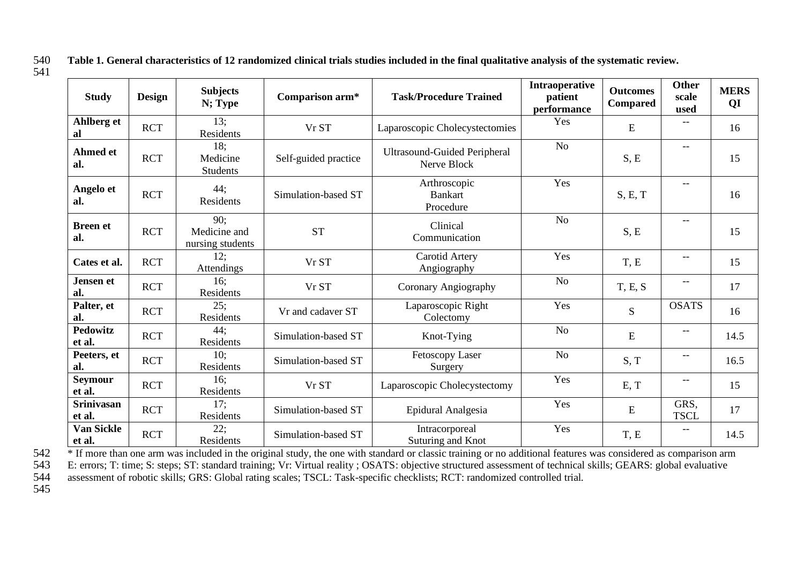540 **Table 1. General characteristics of 12 randomized clinical trials studies included in the final qualitative analysis of the systematic review.** 541

| <b>Study</b>                | <b>Design</b> | <b>Subjects</b><br>N; Type              | Comparison arm*      | <b>Task/Procedure Trained</b>                      | Intraoperative<br>patient<br>performance | <b>Outcomes</b><br>Compared | Other<br>scale<br>used                | <b>MERS</b><br>QI |
|-----------------------------|---------------|-----------------------------------------|----------------------|----------------------------------------------------|------------------------------------------|-----------------------------|---------------------------------------|-------------------|
| Ahlberg et<br>al            | <b>RCT</b>    | 13:<br>Residents                        | Vr ST                | Laparoscopic Cholecystectomies                     | Yes                                      | E                           |                                       | 16                |
| <b>Ahmed et</b><br>al.      | <b>RCT</b>    | 18:<br>Medicine<br><b>Students</b>      | Self-guided practice | <b>Ultrasound-Guided Peripheral</b><br>Nerve Block | N <sub>o</sub>                           | S, E                        | $\qquad \qquad -$                     | 15                |
| Angelo et<br>al.            | <b>RCT</b>    | 44;<br>Residents                        | Simulation-based ST  | Arthroscopic<br><b>Bankart</b><br>Procedure        | Yes                                      | S, E, T                     | $\overline{\phantom{a}}$              | 16                |
| <b>Breen et</b><br>al.      | <b>RCT</b>    | 90:<br>Medicine and<br>nursing students | <b>ST</b>            | Clinical<br>Communication                          | N <sub>o</sub>                           | S, E                        | $\hspace{0.05cm}$ – $\hspace{0.05cm}$ | 15                |
| Cates et al.                | <b>RCT</b>    | 12;<br>Attendings                       | Vr ST                | Carotid Artery<br>Angiography                      | Yes                                      | T, E                        | $--$                                  | 15                |
| <b>Jensen</b> et<br>al.     | <b>RCT</b>    | 16;<br>Residents                        | Vr ST                | Coronary Angiography                               | N <sub>o</sub>                           | T, E, S                     | $- -$                                 | 17                |
| Palter, et<br>al.           | <b>RCT</b>    | 25;<br>Residents                        | Vr and cadaver ST    | Laparoscopic Right<br>Colectomy                    | Yes                                      | S                           | <b>OSATS</b>                          | 16                |
| <b>Pedowitz</b><br>et al.   | <b>RCT</b>    | 44;<br>Residents                        | Simulation-based ST  | Knot-Tying                                         | N <sub>o</sub>                           | E                           | $\hspace{0.05cm}$ – $\hspace{0.05cm}$ | 14.5              |
| Peeters, et<br>al.          | <b>RCT</b>    | 10:<br>Residents                        | Simulation-based ST  | Fetoscopy Laser<br>Surgery                         | N <sub>o</sub>                           | S, T                        | $- -$                                 | 16.5              |
| Seymour<br>et al.           | <b>RCT</b>    | 16:<br>Residents                        | Vr ST                | Laparoscopic Cholecystectomy                       | Yes                                      | E, T                        | $- -$                                 | 15                |
| <b>Srinivasan</b><br>et al. | <b>RCT</b>    | 17;<br>Residents                        | Simulation-based ST  | Epidural Analgesia                                 | Yes                                      | ${\bf E}$                   | GRS,<br><b>TSCL</b>                   | 17                |
| <b>Van Sickle</b><br>et al. | <b>RCT</b>    | 22;<br>Residents                        | Simulation-based ST  | Intracorporeal<br>Suturing and Knot                | Yes                                      | T, E                        | $\overline{\phantom{m}}$              | 14.5              |

<sup>\*</sup> If more than one arm was included in the original study, the one with standard or classic training or no additional features was considered as comparison arm<br>543 E: errors; T: time; S: steps; ST: standard training; Vr:

543 E: errors; T: time; S: steps; ST: standard training; Vr: Virtual reality; OSATS: objective structured assessment of technical skills; GEARS: global evaluative assessment of robotic skills; GRS: Global rating scales; TS assessment of robotic skills; GRS: Global rating scales; TSCL: Task-specific checklists; RCT: randomized controlled trial.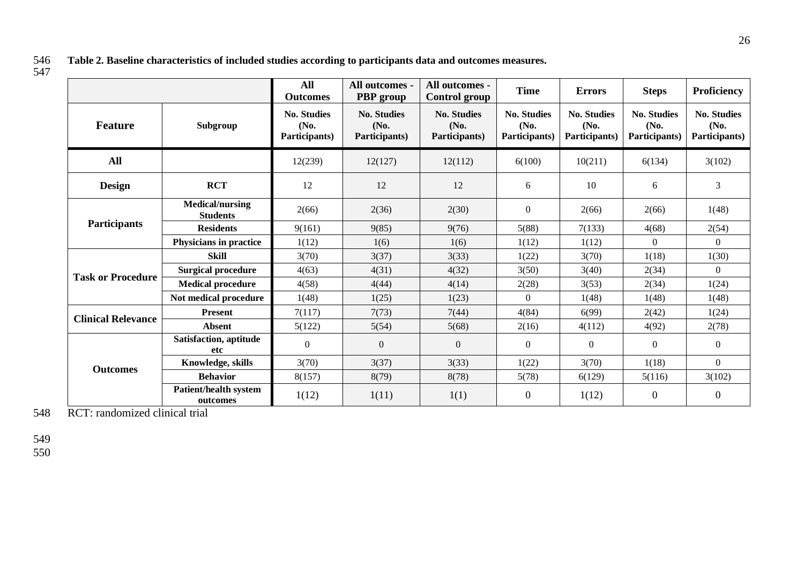546 **Table 2. Baseline characteristics of included studies according to participants data and outcomes measures.**

 $547$ 

|                           |                                           | <b>All</b><br><b>Outcomes</b>               | All outcomes -<br>PBP group                 | All outcomes -<br><b>Control group</b>      | <b>Time</b>                                 | <b>Errors</b>                               | <b>Steps</b>                                | <b>Proficiency</b>                          |  |
|---------------------------|-------------------------------------------|---------------------------------------------|---------------------------------------------|---------------------------------------------|---------------------------------------------|---------------------------------------------|---------------------------------------------|---------------------------------------------|--|
| <b>Feature</b>            | Subgroup                                  | <b>No. Studies</b><br>(No.<br>Participants) | <b>No. Studies</b><br>(No.<br>Participants) | <b>No. Studies</b><br>(No.<br>Participants) | <b>No. Studies</b><br>(No.<br>Participants) | <b>No. Studies</b><br>(No.<br>Participants) | <b>No. Studies</b><br>(No.<br>Participants) | <b>No. Studies</b><br>(No.<br>Participants) |  |
| <b>All</b>                |                                           | 12(239)                                     | 12(127)                                     | 12(112)                                     | 6(100)                                      | 10(211)                                     | 6(134)                                      | 3(102)                                      |  |
| <b>Design</b>             | <b>RCT</b>                                | 12                                          | 12                                          | 12                                          | 6                                           | 10                                          | 6                                           | 3                                           |  |
|                           | <b>Medical/nursing</b><br><b>Students</b> | 2(66)                                       | 2(36)                                       | 2(30)                                       | $\boldsymbol{0}$                            | 2(66)                                       | 2(66)                                       | 1(48)                                       |  |
| <b>Participants</b>       | <b>Residents</b>                          | 9(161)                                      | 9(85)                                       | 9(76)                                       | 5(88)                                       | 7(133)                                      | 4(68)                                       | 2(54)                                       |  |
|                           | Physicians in practice                    | 1(12)                                       | 1(6)                                        | 1(6)                                        | 1(12)                                       | 1(12)                                       | $\theta$                                    | $\Omega$                                    |  |
|                           | <b>Skill</b>                              | 3(70)                                       | 3(37)                                       | 3(33)                                       | 1(22)                                       | 3(70)                                       | 1(18)                                       | 1(30)                                       |  |
| <b>Task or Procedure</b>  | <b>Surgical procedure</b>                 | 4(63)                                       | 4(31)                                       | 4(32)                                       | 3(50)                                       | 3(40)                                       | 2(34)                                       | $\overline{0}$                              |  |
|                           | <b>Medical procedure</b>                  | 4(58)                                       | 4(44)                                       | 4(14)                                       | 2(28)                                       | 3(53)                                       | 2(34)                                       | 1(24)                                       |  |
|                           | Not medical procedure                     | 1(48)                                       | 1(25)                                       | 1(23)                                       | $\Omega$                                    | 1(48)                                       | 1(48)                                       | 1(48)                                       |  |
| <b>Clinical Relevance</b> | <b>Present</b>                            | 7(117)                                      | 7(73)                                       | 7(44)                                       | 4(84)                                       | 6(99)                                       | 2(42)                                       | 1(24)                                       |  |
|                           | <b>Absent</b>                             | 5(122)                                      | 5(54)                                       | 5(68)                                       | 2(16)                                       | 4(112)                                      | 4(92)                                       | 2(78)                                       |  |
|                           | Satisfaction, aptitude<br>etc             | $\overline{0}$                              | $\boldsymbol{0}$                            | $\Omega$                                    | $\boldsymbol{0}$                            | $\mathbf{0}$                                | $\boldsymbol{0}$                            | $\overline{0}$                              |  |
| <b>Outcomes</b>           | Knowledge, skills                         | 3(70)                                       | 3(37)                                       | 3(33)                                       | 1(22)                                       | 3(70)                                       | 1(18)                                       | $\overline{0}$                              |  |
|                           | <b>Behavior</b>                           | 8(157)                                      | 8(79)                                       | 8(78)                                       | 5(78)                                       | 6(129)                                      | 5(116)                                      | 3(102)                                      |  |
|                           | <b>Patient/health system</b><br>outcomes  | 1(12)                                       | 1(11)                                       | 1(1)                                        | $\boldsymbol{0}$                            | 1(12)                                       | $\boldsymbol{0}$                            | $\overline{0}$                              |  |

548 RCT: randomized clinical trial

549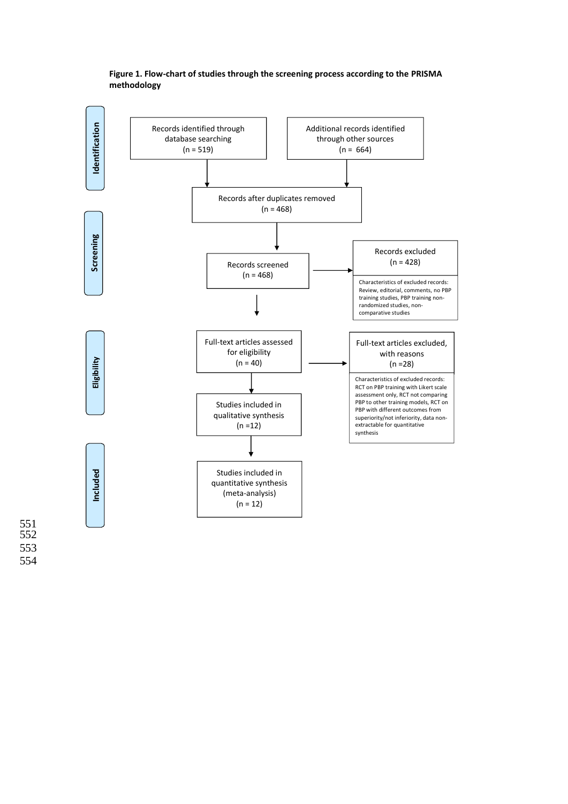

## **Figure 1. Flow-chart of studies through the screening process according to the PRISMA methodology**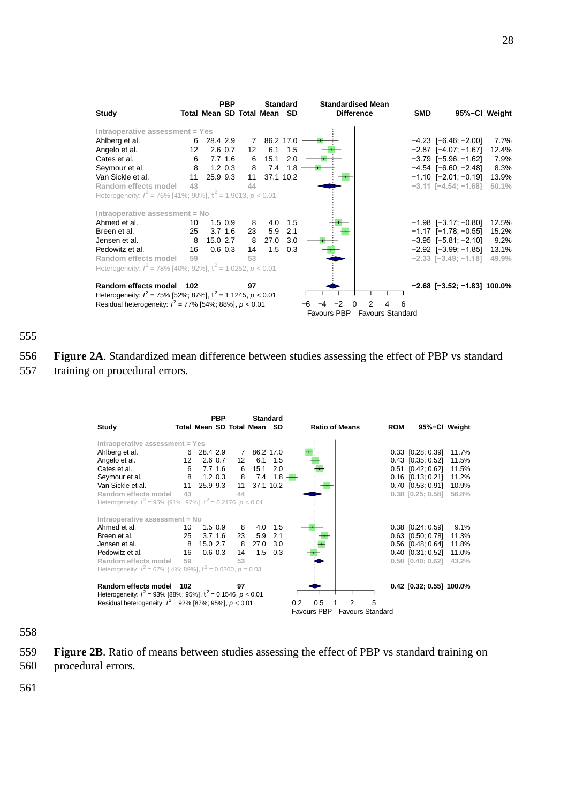

555

556 **Figure 2A**. Standardized mean difference between studies assessing the effect of PBP vs standard 557 training on procedural errors.

|                                                                     |     |          | <b>PBP</b>   |                 |                             | <b>Standard</b> |                       |   |                         |                          |       |
|---------------------------------------------------------------------|-----|----------|--------------|-----------------|-----------------------------|-----------------|-----------------------|---|-------------------------|--------------------------|-------|
| Study                                                               |     |          |              |                 | Total Mean SD Total Mean SD |                 | <b>Ratio of Means</b> |   | <b>ROM</b>              | 95%-CI Weight            |       |
| Intraoperative assessment = Yes                                     |     |          |              |                 |                             |                 |                       |   |                         |                          |       |
| Ahlberg et al.                                                      | 6   | 28.4 2.9 |              | 7               | 86.2 17.0                   |                 |                       |   |                         | 0.33 [0.28; 0.39]        | 11.7% |
| Angelo et al.                                                       | 12  |          | $2.6 \, 0.7$ | 12 <sup>°</sup> | 6.1                         | 1.5             |                       |   |                         | $0.43$ $[0.35; 0.52]$    | 11.5% |
| Cates et al.                                                        | 6   |          | $7.7$ 1.6    | 6               | 15.1                        | 2.0             |                       |   |                         | $0.51$ $[0.42; 0.62]$    | 11.5% |
| Seymour et al.                                                      | 8   |          | $1.2 \, 0.3$ | 8               | 7.4                         | $1.8 -$         |                       |   |                         | $0.16$ $[0.13; 0.21]$    | 11.2% |
| Van Sickle et al.                                                   | 11  | 25.9 9.3 |              | 11              | 37.1 10.2                   |                 |                       |   |                         | $0.70$ [0.53; 0.91]      | 10.9% |
| Random effects model                                                | 43  |          |              | 44              |                             |                 |                       |   |                         | $0.38$ $[0.25; 0.58]$    | 56.8% |
| Heterogeneity: $l^2 = 95\%$ [91%; 97%], $t^2 = 0.2176$ , $p < 0.01$ |     |          |              |                 |                             |                 |                       |   |                         |                          |       |
| Intraoperative assessment = No                                      |     |          |              |                 |                             |                 |                       |   |                         |                          |       |
| Ahmed et al.                                                        | 10  |          | $1.5 \ 0.9$  | 8               | 4.0                         | 1.5             |                       |   |                         | $0.38$ [0.24; 0.59]      | 9.1%  |
| Breen et al.                                                        | 25  |          | $3.7 \; 1.6$ | 23              | 5.9                         | 2.1             |                       |   |                         | 0.63 [0.50; 0.78]        | 11.3% |
| Jensen et al.                                                       | 8   | 15.0 2.7 |              | 8               | 27.0                        | 3.0             |                       |   |                         | $0.56$ $[0.48; 0.64]$    | 11.8% |
| Pedowitz et al.                                                     | 16  |          | $0.6$ 0.3    | 14              | 1.5                         | 0.3             |                       |   |                         | $0.40$ $[0.31; 0.52]$    | 11.0% |
| Random effects model                                                | 59  |          |              | 53              |                             |                 |                       |   |                         | $0.50$ $[0.40; 0.62]$    | 43.2% |
| Heterogeneity: $I^2 = 67\%$ [4%; 89%], $t^2 = 0.0300$ , $p = 0.03$  |     |          |              |                 |                             |                 |                       |   |                         |                          |       |
| Random effects model                                                | 102 |          |              | 97              |                             |                 |                       |   |                         | 0.42 [0.32; 0.55] 100.0% |       |
| Heterogeneity: $I^2 = 93\%$ [88%; 95%], $t^2 = 0.1546$ , $p < 0.01$ |     |          |              |                 |                             |                 |                       |   |                         |                          |       |
| Residual heterogeneity: $I^2 = 92\%$ [87%; 95%], $p < 0.01$         |     |          |              |                 |                             |                 | 0.5<br>0.2            | 2 | 5                       |                          |       |
|                                                                     |     |          |              |                 |                             |                 | <b>Favours PBP</b>    |   | <b>Favours Standard</b> |                          |       |

558

- 559 **Figure 2B**. Ratio of means between studies assessing the effect of PBP vs standard training on
- 560 procedural errors.